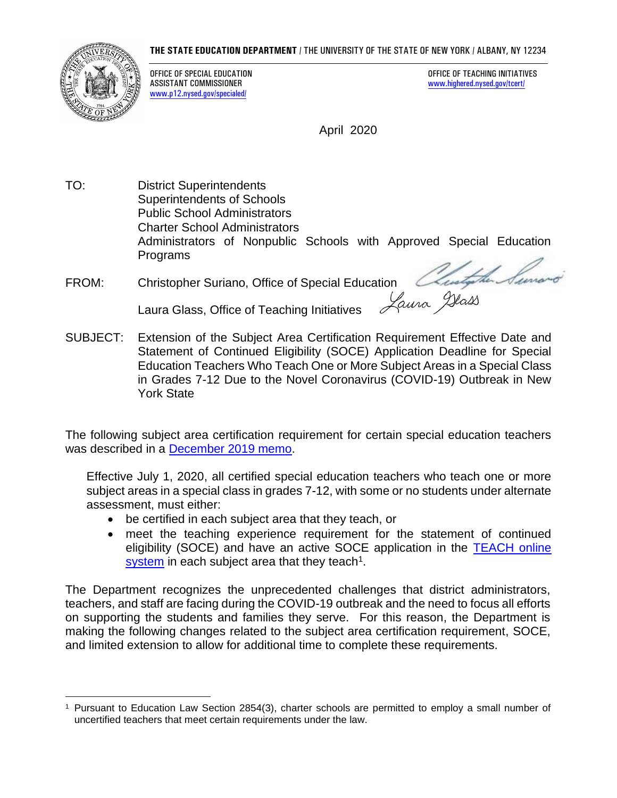## **THE STATE EDUCATION DEPARTMENT** / THE UNIVERSITY OF THE STATE OF NEW YORK / ALBANY, NY 12234



www.p12.nysed.gov/specialed/

OFFICE OF SPECIAL EDUCATION<br>
ASSISTANT COMMISSIONER<br>
ASSISTANT COMMISSIONER www.highered.nysed.gov/tcert/

April 2020

 Administrators of Nonpublic Schools with Approved Special Education TO: District Superintendents Superintendents of Schools Public School Administrators Charter School Administrators Programs

FROM: Christopher Suriano, Office of Special Education

Extension of the Subject Area Certification Requirement Effective Date and in Grades 7-12 Due to the Novel Coronavirus (COVID-19) Outbreak in New Laura Glass, Office of Teaching Initiatives **Sulfarm Comes Laura Glass**, Office of Teaching Initiatives Subsection Requirement Effective Date and<br>SUBJECT: Extension of the Subject Area Certification Requirement Effective D Statement of Continued Eligibility (SOCE) Application Deadline for Special Education Teachers Who Teach One or More Subject Areas in a Special Class York State

 The following subject area certification requirement for certain special education teachers was described in a December 2019 memo.

 Effective July 1, 2020, all certified special education teachers who teach one or more subject areas in a special class in grades 7-12, with some or no students under alternate assessment, must either:

- be certified in each subject area that they teach, or
- • meet the teaching experience requirement for the statement of continued eligibility (SOCE) and have an active SOCE application in the **TEACH** online system in each subject area that they teach<sup>1</sup>.

 teachers, and staff are facing during the COVID-19 outbreak and the need to focus all efforts on supporting the students and families they serve. For this reason, the Department is making the following changes related to the subject area certification requirement, SOCE, The Department recognizes the unprecedented challenges that district administrators, and limited extension to allow for additional time to complete these requirements.

<sup>&</sup>lt;sup>1</sup> Pursuant to Education Law Section 2854(3), charter schools are permitted to employ a small number of uncertified teachers that meet certain requirements under the law.